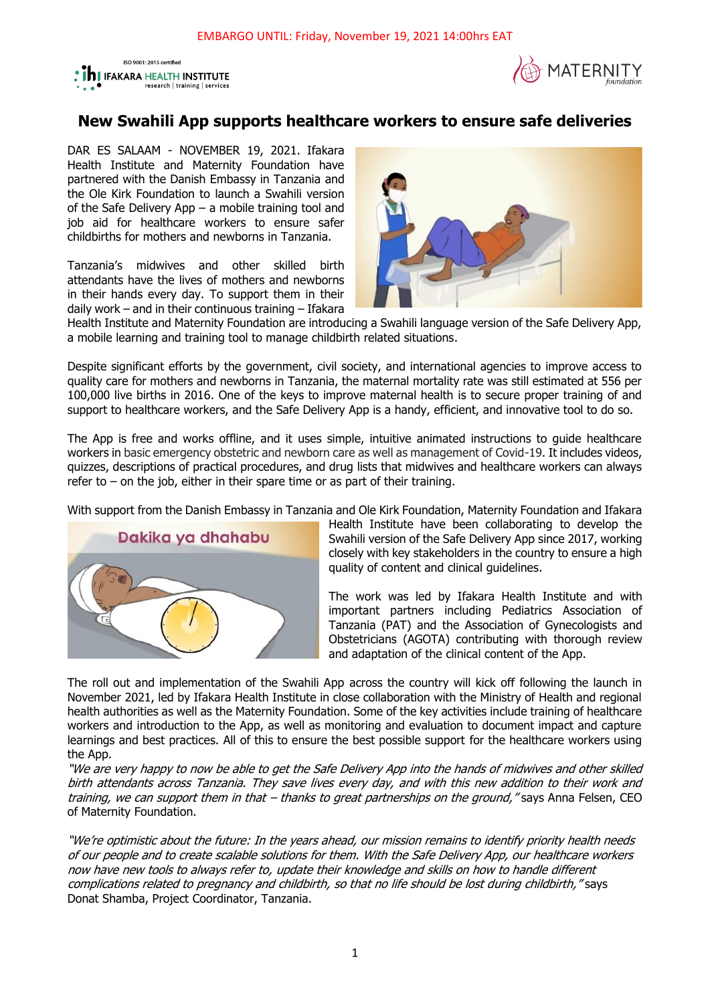



## **New Swahili App supports healthcare workers to ensure safe deliveries**

DAR ES SALAAM - NOVEMBER 19, 2021. Ifakara Health Institute and Maternity Foundation have partnered with the Danish Embassy in Tanzania and the Ole Kirk Foundation to launch a Swahili version of the Safe Delivery App – a mobile training tool and job aid for healthcare workers to ensure safer childbirths for mothers and newborns in Tanzania.

Tanzania's midwives and other skilled birth attendants have the lives of mothers and newborns in their hands every day. To support them in their daily work – and in their continuous training – Ifakara



Health Institute and Maternity Foundation are introducing a Swahili language version of the Safe Delivery App, a mobile learning and training tool to manage childbirth related situations.

Despite significant efforts by the government, civil society, and international agencies to improve access to quality care for mothers and newborns in Tanzania, the maternal mortality rate was still estimated at 556 per 100,000 live births in 2016. One of the keys to improve maternal health is to secure proper training of and support to healthcare workers, and the Safe Delivery App is a handy, efficient, and innovative tool to do so.

The App is free and works offline, and it uses simple, intuitive animated instructions to guide healthcare workers in basic emergency obstetric and newborn care as well as management of Covid-19. It includes videos, quizzes, descriptions of practical procedures, and drug lists that midwives and healthcare workers can always refer to  $-$  on the job, either in their spare time or as part of their training.

With support from the Danish Embassy in Tanzania and Ole Kirk Foundation, Maternity Foundation and Ifakara



Health Institute have been collaborating to develop the Swahili version of the Safe Delivery App since 2017, working closely with key stakeholders in the country to ensure a high quality of content and clinical guidelines.

The work was led by Ifakara Health Institute and with important partners including Pediatrics Association of Tanzania (PAT) and the Association of Gynecologists and Obstetricians (AGOTA) contributing with thorough review and adaptation of the clinical content of the App.

The roll out and implementation of the Swahili App across the country will kick off following the launch in November 2021, led by Ifakara Health Institute in close collaboration with the Ministry of Health and regional health authorities as well as the Maternity Foundation. Some of the key activities include training of healthcare workers and introduction to the App, as well as monitoring and evaluation to document impact and capture learnings and best practices. All of this to ensure the best possible support for the healthcare workers using the App.

"We are very happy to now be able to get the Safe Delivery App into the hands of midwives and other skilled birth attendants across Tanzania. They save lives every day, and with this new addition to their work and training, we can support them in that – thanks to great partnerships on the ground," says Anna Felsen, CEO of Maternity Foundation.

"We're optimistic about the future: In the years ahead, our mission remains to identify priority health needs of our people and to create scalable solutions for them. With the Safe Delivery App, our healthcare workers now have new tools to always refer to, update their knowledge and skills on how to handle different complications related to pregnancy and childbirth, so that no life should be lost during childbirth," says Donat Shamba, Project Coordinator, Tanzania.